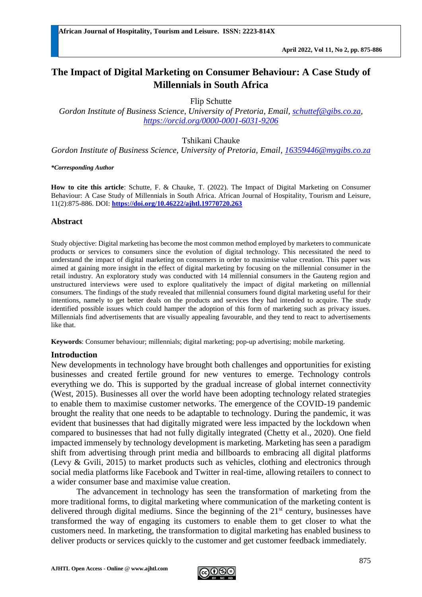# **The Impact of Digital Marketing on Consumer Behaviour: A Case Study of Millennials in South Africa**

Flip Schutte

*Gordon Institute of Business Science, University of Pretoria, Email, [schuttef@gibs.co.za,](mailto:schuttef@gibs.co.za) <https://orcid.org/0000-0001-6031-9206>*

Tshikani Chauke

*Gordon Institute of Business Science, University of Pretoria, Email, [16359446@mygibs.co.za](mailto:16359446@mygibs.co.za)*

*\*Corresponding Author*

**How to cite this article**: Schutte, F. & Chauke, T. (2022). The Impact of Digital Marketing on Consumer Behaviour: A Case Study of Millennials in South Africa. African Journal of Hospitality, Tourism and Leisure, 11(2):875-886. DOI: **<https://doi.org/10.46222/ajhtl.19770720.263>**

## **Abstract**

Study objective: Digital marketing has become the most common method employed by marketers to communicate products or services to consumers since the evolution of digital technology. This necessitated the need to understand the impact of digital marketing on consumers in order to maximise value creation. This paper was aimed at gaining more insight in the effect of digital marketing by focusing on the millennial consumer in the retail industry. An exploratory study was conducted with 14 millennial consumers in the Gauteng region and unstructured interviews were used to explore qualitatively the impact of digital marketing on millennial consumers. The findings of the study revealed that millennial consumers found digital marketing useful for their intentions, namely to get better deals on the products and services they had intended to acquire. The study identified possible issues which could hamper the adoption of this form of marketing such as privacy issues. Millennials find advertisements that are visually appealing favourable, and they tend to react to advertisements like that.

**Keywords**: Consumer behaviour; millennials; digital marketing; pop-up advertising; mobile marketing.

### **Introduction**

New developments in technology have brought both challenges and opportunities for existing businesses and created fertile ground for new ventures to emerge. Technology controls everything we do. This is supported by the gradual increase of global internet connectivity (West, 2015). Businesses all over the world have been adopting technology related strategies to enable them to maximise customer networks. The emergence of the COVID-19 pandemic brought the reality that one needs to be adaptable to technology. During the pandemic, it was evident that businesses that had digitally migrated were less impacted by the lockdown when compared to businesses that had not fully digitally integrated (Chetty et al., 2020). One field impacted immensely by technology development is marketing. Marketing has seen a paradigm shift from advertising through print media and billboards to embracing all digital platforms (Levy & Gvili, 2015) to market products such as vehicles, clothing and electronics through social media platforms like Facebook and Twitter in real-time, allowing retailers to connect to a wider consumer base and maximise value creation.

The advancement in technology has seen the transformation of marketing from the more traditional forms, to digital marketing where communication of the marketing content is delivered through digital mediums. Since the beginning of the  $21<sup>st</sup>$  century, businesses have transformed the way of engaging its customers to enable them to get closer to what the customers need. In marketing, the transformation to digital marketing has enabled business to deliver products or services quickly to the customer and get customer feedback immediately.

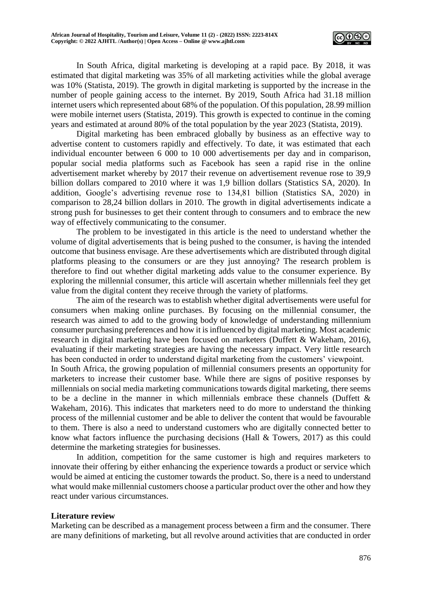

In South Africa, digital marketing is developing at a rapid pace. By 2018, it was estimated that digital marketing was 35% of all marketing activities while the global average was 10% (Statista, 2019). The growth in digital marketing is supported by the increase in the number of people gaining access to the internet. By 2019, South Africa had 31.18 million internet users which represented about 68% of the population. Of this population, 28.99 million were mobile internet users (Statista, 2019). This growth is expected to continue in the coming years and estimated at around 80% of the total population by the year 2023 (Statista, 2019).

Digital marketing has been embraced globally by business as an effective way to advertise content to customers rapidly and effectively. To date, it was estimated that each individual encounter between 6 000 to 10 000 advertisements per day and in comparison, popular social media platforms such as Facebook has seen a rapid rise in the online advertisement market whereby by 2017 their revenue on advertisement revenue rose to 39,9 billion dollars compared to 2010 where it was 1,9 billion dollars (Statistics SA, 2020). In addition, Google's advertising revenue rose to 134,81 billion (Statistics SA, 2020) in comparison to 28,24 billion dollars in 2010. The growth in digital advertisements indicate a strong push for businesses to get their content through to consumers and to embrace the new way of effectively communicating to the consumer.

The problem to be investigated in this article is the need to understand whether the volume of digital advertisements that is being pushed to the consumer, is having the intended outcome that business envisage. Are these advertisements which are distributed through digital platforms pleasing to the consumers or are they just annoying? The research problem is therefore to find out whether digital marketing adds value to the consumer experience. By exploring the millennial consumer, this article will ascertain whether millennials feel they get value from the digital content they receive through the variety of platforms.

The aim of the research was to establish whether digital advertisements were useful for consumers when making online purchases. By focusing on the millennial consumer, the research was aimed to add to the growing body of knowledge of understanding millennium consumer purchasing preferences and how it is influenced by digital marketing. Most academic research in digital marketing have been focused on marketers (Duffett & Wakeham, 2016), evaluating if their marketing strategies are having the necessary impact. Very little research has been conducted in order to understand digital marketing from the customers' viewpoint. In South Africa, the growing population of millennial consumers presents an opportunity for marketers to increase their customer base. While there are signs of positive responses by millennials on social media marketing communications towards digital marketing, there seems to be a decline in the manner in which millennials embrace these channels (Duffett  $\&$ Wakeham, 2016). This indicates that marketers need to do more to understand the thinking process of the millennial customer and be able to deliver the content that would be favourable

to them. There is also a need to understand customers who are digitally connected better to know what factors influence the purchasing decisions (Hall & Towers, 2017) as this could determine the marketing strategies for businesses.

In addition, competition for the same customer is high and requires marketers to innovate their offering by either enhancing the experience towards a product or service which would be aimed at enticing the customer towards the product. So, there is a need to understand what would make millennial customers choose a particular product over the other and how they react under various circumstances.

### **Literature review**

Marketing can be described as a management process between a firm and the consumer. There are many definitions of marketing, but all revolve around activities that are conducted in order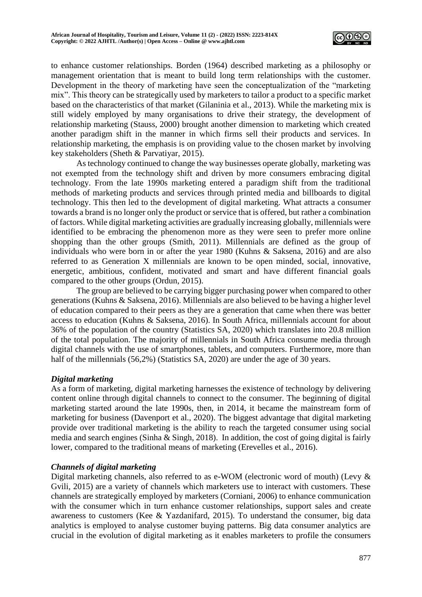

to enhance customer relationships. Borden (1964) described marketing as a philosophy or management orientation that is meant to build long term relationships with the customer. Development in the theory of marketing have seen the conceptualization of the "marketing mix". This theory can be strategically used by marketers to tailor a product to a specific market based on the characteristics of that market (Gilaninia et al., 2013). While the marketing mix is still widely employed by many organisations to drive their strategy, the development of relationship marketing (Stauss, 2000) brought another dimension to marketing which created another paradigm shift in the manner in which firms sell their products and services. In relationship marketing, the emphasis is on providing value to the chosen market by involving key stakeholders (Sheth & Parvatiyar, 2015).

As technology continued to change the way businesses operate globally, marketing was not exempted from the technology shift and driven by more consumers embracing digital technology. From the late 1990s marketing entered a paradigm shift from the traditional methods of marketing products and services through printed media and billboards to digital technology. This then led to the development of digital marketing. What attracts a consumer towards a brand is no longer only the product or service that is offered, but rather a combination of factors. While digital marketing activities are gradually increasing globally, millennials were identified to be embracing the phenomenon more as they were seen to prefer more online shopping than the other groups (Smith, 2011). Millennials are defined as the group of individuals who were born in or after the year 1980 (Kuhns & Saksena, 2016) and are also referred to as Generation X millennials are known to be open minded, social, innovative, energetic, ambitious, confident, motivated and smart and have different financial goals compared to the other groups (Ordun, 2015).

The group are believed to be carrying bigger purchasing power when compared to other generations (Kuhns & Saksena, 2016). Millennials are also believed to be having a higher level of education compared to their peers as they are a generation that came when there was better access to education (Kuhns & Saksena, 2016). In South Africa, millennials account for about 36% of the population of the country (Statistics SA, 2020) which translates into 20.8 million of the total population. The majority of millennials in South Africa consume media through digital channels with the use of smartphones, tablets, and computers. Furthermore, more than half of the millennials (56,2%) (Statistics SA, 2020) are under the age of 30 years.

## *Digital marketing*

As a form of marketing, digital marketing harnesses the existence of technology by delivering content online through digital channels to connect to the consumer. The beginning of digital marketing started around the late 1990s, then, in 2014, it became the mainstream form of marketing for business (Davenport et al., 2020). The biggest advantage that digital marketing provide over traditional marketing is the ability to reach the targeted consumer using social media and search engines (Sinha & Singh, 2018). In addition, the cost of going digital is fairly lower, compared to the traditional means of marketing (Erevelles et al., 2016).

## *Channels of digital marketing*

Digital marketing channels, also referred to as e-WOM (electronic word of mouth) (Levy & Gvili, 2015) are a variety of channels which marketers use to interact with customers. These channels are strategically employed by marketers (Corniani, 2006) to enhance communication with the consumer which in turn enhance customer relationships, support sales and create awareness to customers (Kee & Yazdanifard, 2015). To understand the consumer, big data analytics is employed to analyse customer buying patterns. Big data consumer analytics are crucial in the evolution of digital marketing as it enables marketers to profile the consumers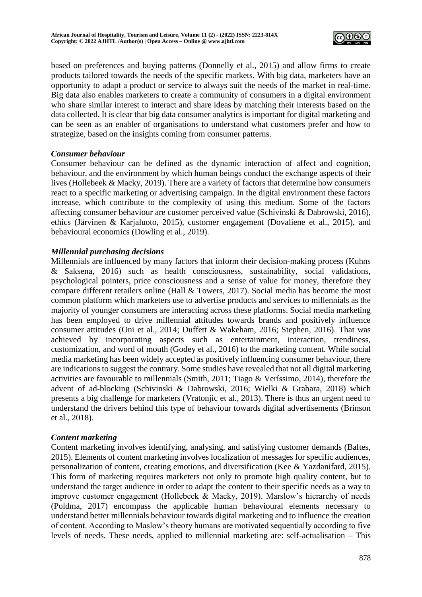

based on preferences and buying patterns (Donnelly et al., 2015) and allow firms to create products tailored towards the needs of the specific markets. With big data, marketers have an opportunity to adapt a product or service to always suit the needs of the market in real-time. Big data also enables marketers to create a community of consumers in a digital environment who share similar interest to interact and share ideas by matching their interests based on the data collected. It is clear that big data consumer analytics is important for digital marketing and can be seen as an enabler of organisations to understand what customers prefer and how to strategize, based on the insights coming from consumer patterns.

## *Consumer behaviour*

Consumer behaviour can be defined as the dynamic interaction of affect and cognition, behaviour, and the environment by which human beings conduct the exchange aspects of their lives (Hollebeek & Macky, 2019). There are a variety of factors that determine how consumers react to a specific marketing or advertising campaign. In the digital environment these factors increase, which contribute to the complexity of using this medium. Some of the factors affecting consumer behaviour are customer perceived value (Schivinski & Dabrowski, 2016), ethics (Järvinen & Karjaluoto, 2015), customer engagement (Dovaliene et al., 2015), and behavioural economics (Dowling et al., 2019).

# *Millennial purchasing decisions*

Millennials are influenced by many factors that inform their decision-making process (Kuhns & Saksena, 2016) such as health consciousness, sustainability, social validations, psychological pointers, price consciousness and a sense of value for money, therefore they compare different retailers online (Hall & Towers, 2017). Social media has become the most common platform which marketers use to advertise products and services to millennials as the majority of younger consumers are interacting across these platforms. Social media marketing has been employed to drive millennial attitudes towards brands and positively influence consumer attitudes (Oni et al., 2014; Duffett & Wakeham, 2016; Stephen, 2016). That was achieved by incorporating aspects such as entertainment, interaction, trendiness, customization, and word of mouth (Godey et al., 2016) to the marketing content. While social media marketing has been widely accepted as positively influencing consumer behaviour, there are indications to suggest the contrary. Some studies have revealed that not all digital marketing activities are favourable to millennials (Smith, 2011; Tiago & Veríssimo, 2014), therefore the advent of ad-blocking (Schivinski & Dabrowski, 2016; Wielki & Grabara, 2018) which presents a big challenge for marketers (Vratonjic et al., 2013). There is thus an urgent need to understand the drivers behind this type of behaviour towards digital advertisements (Brinson et al., 2018).

## *Content marketing*

Content marketing involves identifying, analysing, and satisfying customer demands (Baltes, 2015). Elements of content marketing involves localization of messages for specific audiences, personalization of content, creating emotions, and diversification (Kee & Yazdanifard, 2015). This form of marketing requires marketers not only to promote high quality content, but to understand the target audience in order to adapt the content to their specific needs as a way to improve customer engagement (Hollebeek & Macky, 2019). Marslow's hierarchy of needs (Poldma, 2017) encompass the applicable human behavioural elements necessary to understand better millennials behaviour towards digital marketing and to influence the creation of content. According to Maslow's theory humans are motivated sequentially according to five levels of needs. These needs, applied to millennial marketing are: self-actualisation – This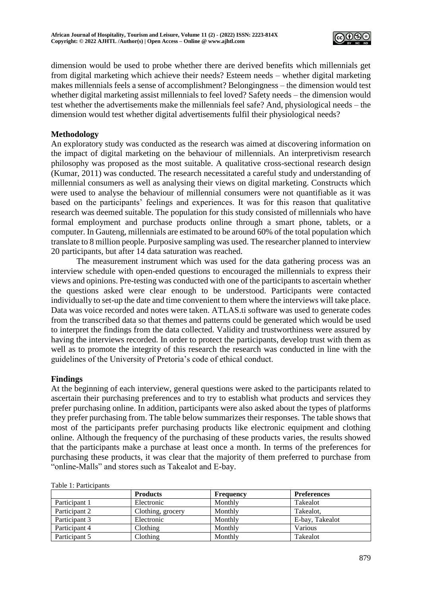

dimension would be used to probe whether there are derived benefits which millennials get from digital marketing which achieve their needs? Esteem needs – whether digital marketing makes millennials feels a sense of accomplishment? Belongingness – the dimension would test whether digital marketing assist millennials to feel loved? Safety needs – the dimension would test whether the advertisements make the millennials feel safe? And, physiological needs – the dimension would test whether digital advertisements fulfil their physiological needs?

## **Methodology**

An exploratory study was conducted as the research was aimed at discovering information on the impact of digital marketing on the behaviour of millennials. An interpretivism research philosophy was proposed as the most suitable. A qualitative cross-sectional research design (Kumar, 2011) was conducted. The research necessitated a careful study and understanding of millennial consumers as well as analysing their views on digital marketing. Constructs which were used to analyse the behaviour of millennial consumers were not quantifiable as it was based on the participants' feelings and experiences. It was for this reason that qualitative research was deemed suitable. The population for this study consisted of millennials who have formal employment and purchase products online through a smart phone, tablets, or a computer. In Gauteng, millennials are estimated to be around 60% of the total population which translate to 8 million people. Purposive sampling was used. The researcher planned to interview 20 participants, but after 14 data saturation was reached.

The measurement instrument which was used for the data gathering process was an interview schedule with open-ended questions to encouraged the millennials to express their views and opinions. Pre-testing was conducted with one of the participants to ascertain whether the questions asked were clear enough to be understood. Participants were contacted individually to set-up the date and time convenient to them where the interviews will take place. Data was voice recorded and notes were taken. ATLAS.ti software was used to generate codes from the transcribed data so that themes and patterns could be generated which would be used to interpret the findings from the data collected. Validity and trustworthiness were assured by having the interviews recorded. In order to protect the participants, develop trust with them as well as to promote the integrity of this research the research was conducted in line with the guidelines of the University of Pretoria's code of ethical conduct.

### **Findings**

At the beginning of each interview, general questions were asked to the participants related to ascertain their purchasing preferences and to try to establish what products and services they prefer purchasing online. In addition, participants were also asked about the types of platforms they prefer purchasing from. The table below summarizes their responses. The table shows that most of the participants prefer purchasing products like electronic equipment and clothing online. Although the frequency of the purchasing of these products varies, the results showed that the participants make a purchase at least once a month. In terms of the preferences for purchasing these products, it was clear that the majority of them preferred to purchase from "online-Malls" and stores such as Takealot and E-bay.

| Taon T. Tannonamo |                   |           |                    |  |
|-------------------|-------------------|-----------|--------------------|--|
|                   | <b>Products</b>   | Frequency | <b>Preferences</b> |  |
| Participant 1     | Electronic        | Monthly   | <b>Takealot</b>    |  |
| Participant 2     | Clothing, grocery | Monthly   | Takealot.          |  |
| Participant 3     | Electronic        | Monthly   | E-bay, Takealot    |  |
| Participant 4     | Clothing          | Monthly   | Various            |  |
| Participant 5     | Clothing          | Monthly   | Takealot           |  |

Table 1: Participants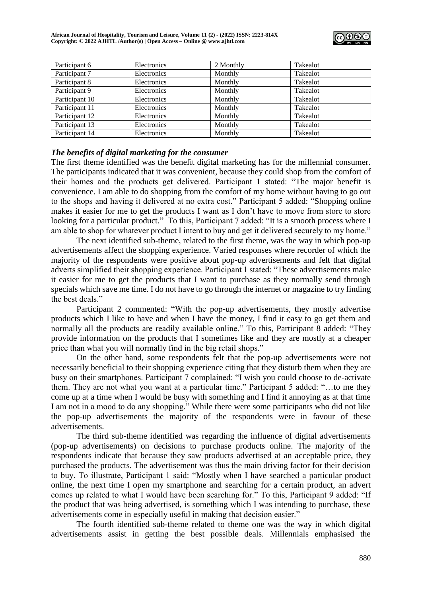

| Participant 6  | Electronics | 2 Monthly | Takealot |
|----------------|-------------|-----------|----------|
| Participant 7  | Electronics | Monthly   | Takealot |
| Participant 8  | Electronics | Monthly   | Takealot |
| Participant 9  | Electronics | Monthly   | Takealot |
| Participant 10 | Electronics | Monthly   | Takealot |
| Participant 11 | Electronics | Monthly   | Takealot |
| Participant 12 | Electronics | Monthly   | Takealot |
| Participant 13 | Electronics | Monthly   | Takealot |
| Participant 14 | Electronics | Monthly   | Takealot |

## *The benefits of digital marketing for the consumer*

The first theme identified was the benefit digital marketing has for the millennial consumer. The participants indicated that it was convenient, because they could shop from the comfort of their homes and the products get delivered. Participant 1 stated: "The major benefit is convenience. I am able to do shopping from the comfort of my home without having to go out to the shops and having it delivered at no extra cost." Participant 5 added: "Shopping online makes it easier for me to get the products I want as I don't have to move from store to store looking for a particular product." To this, Participant 7 added: "It is a smooth process where I am able to shop for whatever product I intent to buy and get it delivered securely to my home."

The next identified sub-theme, related to the first theme, was the way in which pop-up advertisements affect the shopping experience. Varied responses where recorder of which the majority of the respondents were positive about pop-up advertisements and felt that digital adverts simplified their shopping experience. Participant 1 stated: "These advertisements make it easier for me to get the products that I want to purchase as they normally send through specials which save me time. I do not have to go through the internet or magazine to try finding the best deals."

Participant 2 commented: "With the pop-up advertisements, they mostly advertise products which I like to have and when I have the money, I find it easy to go get them and normally all the products are readily available online." To this, Participant 8 added: "They provide information on the products that I sometimes like and they are mostly at a cheaper price than what you will normally find in the big retail shops."

On the other hand, some respondents felt that the pop-up advertisements were not necessarily beneficial to their shopping experience citing that they disturb them when they are busy on their smartphones. Participant 7 complained: "I wish you could choose to de-activate them. They are not what you want at a particular time." Participant 5 added: "…to me they come up at a time when I would be busy with something and I find it annoying as at that time I am not in a mood to do any shopping." While there were some participants who did not like the pop-up advertisements the majority of the respondents were in favour of these advertisements.

The third sub-theme identified was regarding the influence of digital advertisements (pop-up advertisements) on decisions to purchase products online. The majority of the respondents indicate that because they saw products advertised at an acceptable price, they purchased the products. The advertisement was thus the main driving factor for their decision to buy. To illustrate, Participant 1 said: "Mostly when I have searched a particular product online, the next time I open my smartphone and searching for a certain product, an advert comes up related to what I would have been searching for." To this, Participant 9 added: "If the product that was being advertised, is something which I was intending to purchase, these advertisements come in especially useful in making that decision easier."

The fourth identified sub-theme related to theme one was the way in which digital advertisements assist in getting the best possible deals. Millennials emphasised the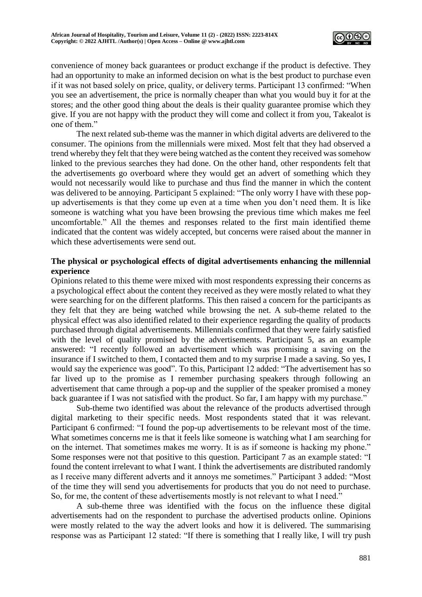

convenience of money back guarantees or product exchange if the product is defective. They had an opportunity to make an informed decision on what is the best product to purchase even if it was not based solely on price, quality, or delivery terms. Participant 13 confirmed: "When you see an advertisement, the price is normally cheaper than what you would buy it for at the stores; and the other good thing about the deals is their quality guarantee promise which they give. If you are not happy with the product they will come and collect it from you, Takealot is one of them."

The next related sub-theme was the manner in which digital adverts are delivered to the consumer. The opinions from the millennials were mixed. Most felt that they had observed a trend whereby they felt that they were being watched as the content they received was somehow linked to the previous searches they had done. On the other hand, other respondents felt that the advertisements go overboard where they would get an advert of something which they would not necessarily would like to purchase and thus find the manner in which the content was delivered to be annoying. Participant 5 explained: "The only worry I have with these popup advertisements is that they come up even at a time when you don't need them. It is like someone is watching what you have been browsing the previous time which makes me feel uncomfortable." All the themes and responses related to the first main identified theme indicated that the content was widely accepted, but concerns were raised about the manner in which these advertisements were send out.

# **The physical or psychological effects of digital advertisements enhancing the millennial experience**

Opinions related to this theme were mixed with most respondents expressing their concerns as a psychological effect about the content they received as they were mostly related to what they were searching for on the different platforms. This then raised a concern for the participants as they felt that they are being watched while browsing the net. A sub-theme related to the physical effect was also identified related to their experience regarding the quality of products purchased through digital advertisements. Millennials confirmed that they were fairly satisfied with the level of quality promised by the advertisements. Participant 5, as an example answered: "I recently followed an advertisement which was promising a saving on the insurance if I switched to them, I contacted them and to my surprise I made a saving. So yes, I would say the experience was good". To this, Participant 12 added: "The advertisement has so far lived up to the promise as I remember purchasing speakers through following an advertisement that came through a pop-up and the supplier of the speaker promised a money back guarantee if I was not satisfied with the product. So far, I am happy with my purchase."

Sub-theme two identified was about the relevance of the products advertised through digital marketing to their specific needs. Most respondents stated that it was relevant. Participant 6 confirmed: "I found the pop-up advertisements to be relevant most of the time. What sometimes concerns me is that it feels like someone is watching what I am searching for on the internet. That sometimes makes me worry. It is as if someone is hacking my phone." Some responses were not that positive to this question. Participant 7 as an example stated: "I found the content irrelevant to what I want. I think the advertisements are distributed randomly as I receive many different adverts and it annoys me sometimes." Participant 3 added: "Most of the time they will send you advertisements for products that you do not need to purchase. So, for me, the content of these advertisements mostly is not relevant to what I need."

A sub-theme three was identified with the focus on the influence these digital advertisements had on the respondent to purchase the advertised products online. Opinions were mostly related to the way the advert looks and how it is delivered. The summarising response was as Participant 12 stated: "If there is something that I really like, I will try push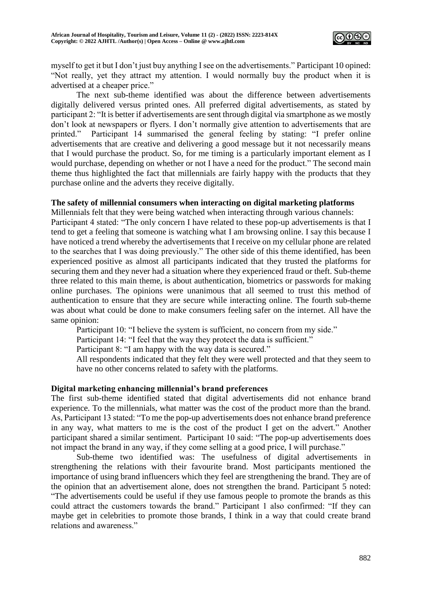

myself to get it but I don't just buy anything I see on the advertisements." Participant 10 opined: "Not really, yet they attract my attention. I would normally buy the product when it is advertised at a cheaper price."

The next sub-theme identified was about the difference between advertisements digitally delivered versus printed ones. All preferred digital advertisements, as stated by participant 2: "It is better if advertisements are sent through digital via smartphone as we mostly don't look at newspapers or flyers. I don't normally give attention to advertisements that are printed." Participant 14 summarised the general feeling by stating: "I prefer online advertisements that are creative and delivering a good message but it not necessarily means that I would purchase the product. So, for me timing is a particularly important element as I would purchase, depending on whether or not I have a need for the product." The second main theme thus highlighted the fact that millennials are fairly happy with the products that they purchase online and the adverts they receive digitally.

### **The safety of millennial consumers when interacting on digital marketing platforms**

Millennials felt that they were being watched when interacting through various channels: Participant 4 stated: "The only concern I have related to these pop-up advertisements is that I tend to get a feeling that someone is watching what I am browsing online. I say this because I have noticed a trend whereby the advertisements that I receive on my cellular phone are related to the searches that I was doing previously." The other side of this theme identified, has been experienced positive as almost all participants indicated that they trusted the platforms for securing them and they never had a situation where they experienced fraud or theft. Sub-theme three related to this main theme, is about authentication, biometrics or passwords for making online purchases. The opinions were unanimous that all seemed to trust this method of authentication to ensure that they are secure while interacting online. The fourth sub-theme was about what could be done to make consumers feeling safer on the internet. All have the same opinion:

Participant 10: "I believe the system is sufficient, no concern from my side."

Participant 14: "I feel that the way they protect the data is sufficient."

Participant 8: "I am happy with the way data is secured."

All respondents indicated that they felt they were well protected and that they seem to have no other concerns related to safety with the platforms.

### **Digital marketing enhancing millennial's brand preferences**

The first sub-theme identified stated that digital advertisements did not enhance brand experience. To the millennials, what matter was the cost of the product more than the brand. As, Participant 13 stated: "To me the pop-up advertisements does not enhance brand preference in any way, what matters to me is the cost of the product I get on the advert." Another participant shared a similar sentiment. Participant 10 said: "The pop-up advertisements does not impact the brand in any way, if they come selling at a good price, I will purchase."

Sub-theme two identified was: The usefulness of digital advertisements in strengthening the relations with their favourite brand. Most participants mentioned the importance of using brand influencers which they feel are strengthening the brand. They are of the opinion that an advertisement alone, does not strengthen the brand. Participant 5 noted: "The advertisements could be useful if they use famous people to promote the brands as this could attract the customers towards the brand." Participant 1 also confirmed: "If they can maybe get in celebrities to promote those brands, I think in a way that could create brand relations and awareness."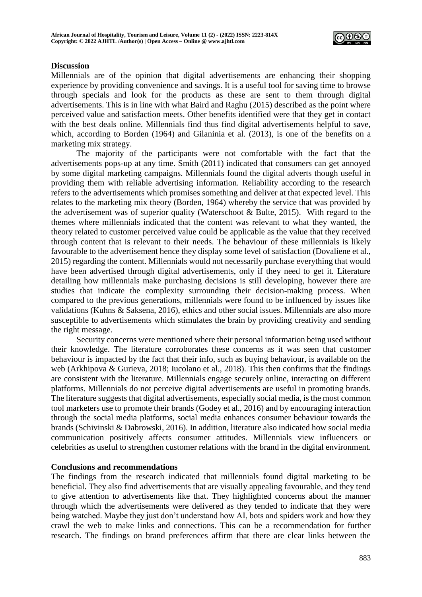

## **Discussion**

Millennials are of the opinion that digital advertisements are enhancing their shopping experience by providing convenience and savings. It is a useful tool for saving time to browse through specials and look for the products as these are sent to them through digital advertisements. This is in line with what Baird and Raghu (2015) described as the point where perceived value and satisfaction meets. Other benefits identified were that they get in contact with the best deals online. Millennials find thus find digital advertisements helpful to save, which, according to Borden (1964) and Gilaninia et al. (2013), is one of the benefits on a marketing mix strategy.

The majority of the participants were not comfortable with the fact that the advertisements pops-up at any time. Smith (2011) indicated that consumers can get annoyed by some digital marketing campaigns. Millennials found the digital adverts though useful in providing them with reliable advertising information. Reliability according to the research refers to the advertisements which promises something and deliver at that expected level. This relates to the marketing mix theory (Borden, 1964) whereby the service that was provided by the advertisement was of superior quality (Waterschoot & Bulte, 2015). With regard to the themes where millennials indicated that the content was relevant to what they wanted, the theory related to customer perceived value could be applicable as the value that they received through content that is relevant to their needs. The behaviour of these millennials is likely favourable to the advertisement hence they display some level of satisfaction (Dovaliene et al., 2015) regarding the content. Millennials would not necessarily purchase everything that would have been advertised through digital advertisements, only if they need to get it. Literature detailing how millennials make purchasing decisions is still developing, however there are studies that indicate the complexity surrounding their decision-making process. When compared to the previous generations, millennials were found to be influenced by issues like validations (Kuhns & Saksena, 2016), ethics and other social issues. Millennials are also more susceptible to advertisements which stimulates the brain by providing creativity and sending the right message.

Security concerns were mentioned where their personal information being used without their knowledge. The literature corroborates these concerns as it was seen that customer behaviour is impacted by the fact that their info, such as buying behaviour, is available on the web (Arkhipova & Gurieva, 2018; Iucolano et al., 2018). This then confirms that the findings are consistent with the literature. Millennials engage securely online, interacting on different platforms. Millennials do not perceive digital advertisements are useful in promoting brands. The literature suggests that digital advertisements, especially social media, is the most common tool marketers use to promote their brands (Godey et al., 2016) and by encouraging interaction through the social media platforms, social media enhances consumer behaviour towards the brands (Schivinski & Dabrowski, 2016). In addition, literature also indicated how social media communication positively affects consumer attitudes. Millennials view influencers or celebrities as useful to strengthen customer relations with the brand in the digital environment.

### **Conclusions and recommendations**

The findings from the research indicated that millennials found digital marketing to be beneficial. They also find advertisements that are visually appealing favourable, and they tend to give attention to advertisements like that. They highlighted concerns about the manner through which the advertisements were delivered as they tended to indicate that they were being watched. Maybe they just don't understand how AI, bots and spiders work and how they crawl the web to make links and connections. This can be a recommendation for further research. The findings on brand preferences affirm that there are clear links between the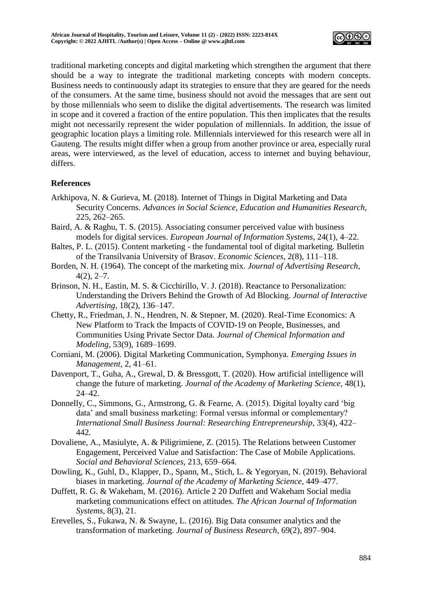

traditional marketing concepts and digital marketing which strengthen the argument that there should be a way to integrate the traditional marketing concepts with modern concepts. Business needs to continuously adapt its strategies to ensure that they are geared for the needs of the consumers. At the same time, business should not avoid the messages that are sent out by those millennials who seem to dislike the digital advertisements. The research was limited in scope and it covered a fraction of the entire population. This then implicates that the results might not necessarily represent the wider population of millennials. In addition, the issue of geographic location plays a limiting role. Millennials interviewed for this research were all in Gauteng. The results might differ when a group from another province or area, especially rural areas, were interviewed, as the level of education, access to internet and buying behaviour, differs.

# **References**

- Arkhipova, N. & Gurieva, M. (2018). Internet of Things in Digital Marketing and Data Security Concerns. *Advances in Social Science, Education and Humanities Research*, 225, 262–265.
- Baird, A. & Raghu, T. S. (2015). Associating consumer perceived value with business models for digital services. *European Journal of Information Systems*, 24(1), 4–22.
- Baltes, P. L. (2015). Content marketing the fundamental tool of digital marketing. Bulletin of the Transilvania University of Brasov. *Economic Sciences*, 2(8), 111–118.
- Borden, N. H. (1964). The concept of the marketing mix. *Journal of Advertising Research*,  $4(2), 2-7.$
- Brinson, N. H., Eastin, M. S. & Cicchirillo, V. J. (2018). Reactance to Personalization: Understanding the Drivers Behind the Growth of Ad Blocking. *Journal of Interactive Advertising*, 18(2), 136–147.
- Chetty, R., Friedman, J. N., Hendren, N. & Stepner, M. (2020). Real-Time Economics: A New Platform to Track the Impacts of COVID-19 on People, Businesses, and Communities Using Private Sector Data. *Journal of Chemical Information and Modeling*, 53(9), 1689–1699.
- Corniani, M. (2006). Digital Marketing Communication, Symphonya. *Emerging Issues in Management*, 2, 41–61.
- Davenport, T., Guha, A., Grewal, D. & Bressgott, T. (2020). How artificial intelligence will change the future of marketing. *Journal of the Academy of Marketing Science*, 48(1), 24–42.
- Donnelly, C., Simmons, G., Armstrong, G. & Fearne, A. (2015). Digital loyalty card 'big data' and small business marketing: Formal versus informal or complementary? *International Small Business Journal: Researching Entrepreneurship*, 33(4), 422– 442.
- Dovaliene, A., Masiulyte, A. & Piligrimiene, Z. (2015). The Relations between Customer Engagement, Perceived Value and Satisfaction: The Case of Mobile Applications. *Social and Behavioral Sciences*, 213, 659–664.
- Dowling, K., Guhl, D., Klapper, D., Spann, M., Stich, L. & Yegoryan, N. (2019). Behavioral biases in marketing. *Journal of the Academy of Marketing Science*, 449–477.
- Duffett, R. G. & Wakeham, M. (2016). Article 2 20 Duffett and Wakeham Social media marketing communications effect on attitudes. *The African Journal of Information Systems*, 8(3), 21.
- Erevelles, S., Fukawa, N. & Swayne, L. (2016). Big Data consumer analytics and the transformation of marketing. *Journal of Business Research*, 69(2), 897–904.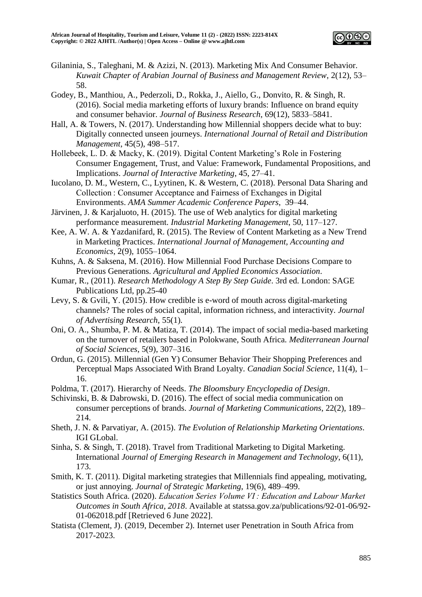

- Gilaninia, S., Taleghani, M. & Azizi, N. (2013). Marketing Mix And Consumer Behavior. *Kuwait Chapter of Arabian Journal of Business and Management Review*, 2(12), 53– 58.
- Godey, B., Manthiou, A., Pederzoli, D., Rokka, J., Aiello, G., Donvito, R. & Singh, R. (2016). Social media marketing efforts of luxury brands: Influence on brand equity and consumer behavior. *Journal of Business Research*, 69(12), 5833–5841.
- Hall, A. & Towers, N. (2017). Understanding how Millennial shoppers decide what to buy: Digitally connected unseen journeys. *International Journal of Retail and Distribution Management*, 45(5), 498–517.
- Hollebeek, L. D. & Macky, K. (2019). Digital Content Marketing's Role in Fostering Consumer Engagement, Trust, and Value: Framework, Fundamental Propositions, and Implications. *Journal of Interactive Marketing*, 45, 27–41.
- Iucolano, D. M., Western, C., Lyytinen, K. & Western, C. (2018). Personal Data Sharing and Collection : Consumer Acceptance and Fairness of Exchanges in Digital Environments. *AMA Summer Academic Conference Papers*, 39–44.
- Järvinen, J. & Karjaluoto, H. (2015). The use of Web analytics for digital marketing performance measurement. *Industrial Marketing Management*, 50, 117–127.
- Kee, A. W. A. & Yazdanifard, R. (2015). The Review of Content Marketing as a New Trend in Marketing Practices. *International Journal of Management, Accounting and Economics*, 2(9), 1055–1064.
- Kuhns, A. & Saksena, M. (2016). How Millennial Food Purchase Decisions Compare to Previous Generations. *Agricultural and Applied Economics Association*.
- Kumar, R., (2011). *Research Methodology A Step By Step Guide*. 3rd ed. London: SAGE Publications Ltd, pp.25-40
- Levy, S. & Gvili, Y. (2015). How credible is e-word of mouth across digital-marketing channels? The roles of social capital, information richness, and interactivity. *Journal of Advertising Research*, 55(1).
- Oni, O. A., Shumba, P. M. & Matiza, T. (2014). The impact of social media-based marketing on the turnover of retailers based in Polokwane, South Africa. *Mediterranean Journal of Social Sciences*, 5(9), 307–316.
- Ordun, G. (2015). Millennial (Gen Y) Consumer Behavior Their Shopping Preferences and Perceptual Maps Associated With Brand Loyalty. *Canadian Social Science*, 11(4), 1– 16.
- Poldma, T. (2017). Hierarchy of Needs. *The Bloomsbury Encyclopedia of Design*.
- Schivinski, B. & Dabrowski, D. (2016). The effect of social media communication on consumer perceptions of brands. *Journal of Marketing Communications*, 22(2), 189– 214.
- Sheth, J. N. & Parvatiyar, A. (2015). *The Evolution of Relationship Marketing Orientations*. IGI GLobal.
- Sinha, S. & Singh, T. (2018). Travel from Traditional Marketing to Digital Marketing. International *Journal of Emerging Research in Management and Technology*, 6(11), 173.
- Smith, K. T. (2011). Digital marketing strategies that Millennials find appealing, motivating, or just annoying. *Journal of Strategic Marketing*, 19(6), 489–499.
- Statistics South Africa. (2020). *Education Series Volume VI : Education and Labour Market Outcomes in South Africa, 2018*. Available at statssa.gov.za/publications/92-01-06/92- 01-062018.pdf [Retrieved 6 June 2022].
- Statista (Clement, J). (2019, December 2). Internet user Penetration in South Africa from 2017-2023.